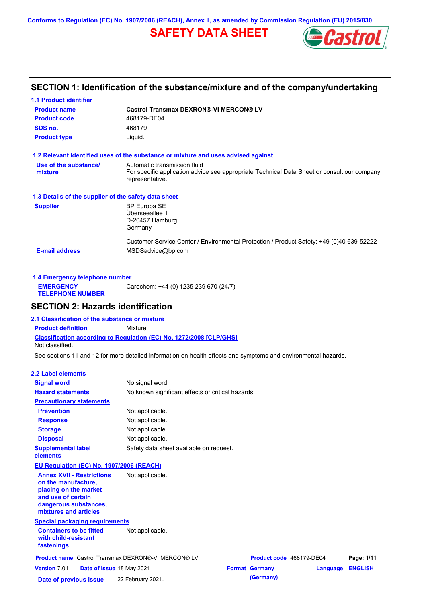**Conforms to Regulation (EC) No. 1907/2006 (REACH), Annex II, as amended by Commission Regulation (EU) 2015/830**

# **SAFETY DATA SHEET**



## **SECTION 1: Identification of the substance/mixture and of the company/undertaking**

| <b>1.1 Product identifier</b>                        |                                                                                                                |
|------------------------------------------------------|----------------------------------------------------------------------------------------------------------------|
| <b>Product name</b>                                  | <b>Castrol Transmax DEXRON®-VI MERCON® LV</b>                                                                  |
| <b>Product code</b>                                  | 468179-DE04                                                                                                    |
| SDS no.                                              | 468179                                                                                                         |
| <b>Product type</b>                                  | Liquid.                                                                                                        |
|                                                      | 1.2 Relevant identified uses of the substance or mixture and uses advised against                              |
| Use of the substance/                                | Automatic transmission fluid                                                                                   |
| mixture                                              | For specific application advice see appropriate Technical Data Sheet or consult our company<br>representative. |
| 1.3 Details of the supplier of the safety data sheet |                                                                                                                |
| <b>Supplier</b>                                      | BP Europa SE                                                                                                   |
|                                                      | Überseeallee 1                                                                                                 |
|                                                      | D-20457 Hamburg                                                                                                |
|                                                      | Germany                                                                                                        |
|                                                      | Customer Service Center / Environmental Protection / Product Safety: +49 (0)40 639-52222                       |
| <b>E-mail address</b>                                | MSDSadvice@bp.com                                                                                              |
|                                                      |                                                                                                                |

| 1.4 Emergency telephone number              |                                       |  |  |  |
|---------------------------------------------|---------------------------------------|--|--|--|
| <b>EMERGENCY</b><br><b>TELEPHONE NUMBER</b> | Carechem: +44 (0) 1235 239 670 (24/7) |  |  |  |

## **SECTION 2: Hazards identification**

**Classification according to Regulation (EC) No. 1272/2008 [CLP/GHS] 2.1 Classification of the substance or mixture Product definition** Mixture Not classified.

See sections 11 and 12 for more detailed information on health effects and symptoms and environmental hazards.

#### **2.2 Label elements**

| <b>Signal word</b>                                                                                                                                       | No signal word.                                            |                          |          |                |
|----------------------------------------------------------------------------------------------------------------------------------------------------------|------------------------------------------------------------|--------------------------|----------|----------------|
| <b>Hazard statements</b>                                                                                                                                 | No known significant effects or critical hazards.          |                          |          |                |
| <b>Precautionary statements</b>                                                                                                                          |                                                            |                          |          |                |
| <b>Prevention</b>                                                                                                                                        | Not applicable.                                            |                          |          |                |
| <b>Response</b>                                                                                                                                          | Not applicable.                                            |                          |          |                |
| <b>Storage</b>                                                                                                                                           | Not applicable.                                            |                          |          |                |
| <b>Disposal</b>                                                                                                                                          | Not applicable.                                            |                          |          |                |
| <b>Supplemental label</b><br>elements                                                                                                                    | Safety data sheet available on request.                    |                          |          |                |
| <b>EU Regulation (EC) No. 1907/2006 (REACH)</b>                                                                                                          |                                                            |                          |          |                |
| <b>Annex XVII - Restrictions</b><br>on the manufacture.<br>placing on the market<br>and use of certain<br>dangerous substances,<br>mixtures and articles | Not applicable.                                            |                          |          |                |
| <b>Special packaging requirements</b>                                                                                                                    |                                                            |                          |          |                |
| <b>Containers to be fitted</b><br>with child-resistant<br>fastenings                                                                                     | Not applicable.                                            |                          |          |                |
|                                                                                                                                                          | <b>Product name</b> Castrol Transmax DEXRON®-VI MERCON® LV | Product code 468179-DE04 |          | Page: 1/11     |
| Version 7.01                                                                                                                                             | Date of issue 18 May 2021                                  | <b>Format Germany</b>    | Language | <b>ENGLISH</b> |
| Date of previous issue                                                                                                                                   | 22 February 2021.                                          | (Germany)                |          |                |
|                                                                                                                                                          |                                                            |                          |          |                |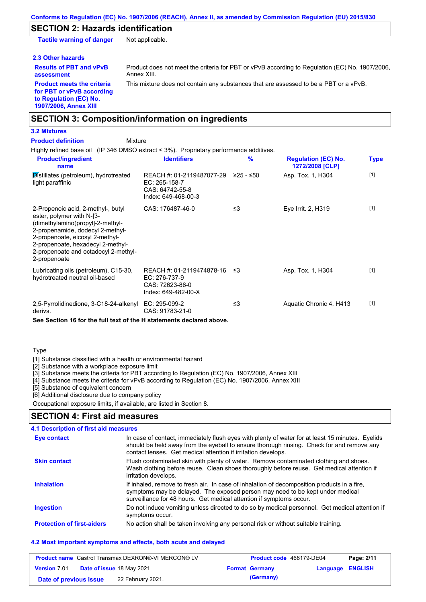### **SECTION 2: Hazards identification**

**Tactile warning of danger** Not applicable.

#### **2.3 Other hazards**

**Results of PBT and vPvB assessment**

Product does not meet the criteria for PBT or vPvB according to Regulation (EC) No. 1907/2006, Annex XIII.

**Product meets the criteria for PBT or vPvB according to Regulation (EC) No. 1907/2006, Annex XIII**

This mixture does not contain any substances that are assessed to be a PBT or a vPvB.

## **SECTION 3: Composition/information on ingredients**

## **3.2 Mixtures**

Highly refined base oil (IP 346 DMSO extract < 3%). Proprietary performance additives. Distillates (petroleum), hydrotreated light paraffinic REACH #: 01-2119487077-29 EC: 265-158-7 CAS: 64742-55-8 Index: 649-468-00-3 Asp. Tox. 1, H304 [1] 2-Propenoic acid, 2-methyl-, butyl ester, polymer with N-[3- (dimethylamino)propyl]-2-methyl-2-propenamide, dodecyl 2-methyl-2-propenoate, eicosyl 2-methyl-2-propenoate, hexadecyl 2-methyl-2-propenoate and octadecyl 2-methyl-2-propenoate CAS: 176487-46-0 ≤3 Eye Irrit. 2, H319 [1] Lubricating oils (petroleum), C15-30, hydrotreated neutral oil-based REACH #: 01-2119474878-16 EC: 276-737-9 CAS: 72623-86-0 Index: 649-482-00-X Asp. Tox. 1, H304 [1] 2,5-Pyrrolidinedione, 3-C18-24-alkenyl EC: 295-099-2 derivs. CAS: 91783-21-0 ≤3 Aquatic Chronic 4, H413 [1] **Product/ingredient name % Regulation (EC) No. Identifiers Type 1272/2008 [CLP]** Mixture **Product definition**

**See Section 16 for the full text of the H statements declared above.**

#### **Type**

[1] Substance classified with a health or environmental hazard

[2] Substance with a workplace exposure limit

[3] Substance meets the criteria for PBT according to Regulation (EC) No. 1907/2006, Annex XIII

[4] Substance meets the criteria for vPvB according to Regulation (EC) No. 1907/2006, Annex XIII

[5] Substance of equivalent concern

[6] Additional disclosure due to company policy

Occupational exposure limits, if available, are listed in Section 8.

### **SECTION 4: First aid measures**

#### **4.1 Description of first aid measures**

| Eye contact                       | In case of contact, immediately flush eyes with plenty of water for at least 15 minutes. Eyelids<br>should be held away from the eyeball to ensure thorough rinsing. Check for and remove any<br>contact lenses. Get medical attention if irritation develops. |
|-----------------------------------|----------------------------------------------------------------------------------------------------------------------------------------------------------------------------------------------------------------------------------------------------------------|
| <b>Skin contact</b>               | Flush contaminated skin with plenty of water. Remove contaminated clothing and shoes.<br>Wash clothing before reuse. Clean shoes thoroughly before reuse. Get medical attention if<br>irritation develops.                                                     |
| <b>Inhalation</b>                 | If inhaled, remove to fresh air. In case of inhalation of decomposition products in a fire,<br>symptoms may be delayed. The exposed person may need to be kept under medical<br>surveillance for 48 hours. Get medical attention if symptoms occur.            |
| <b>Ingestion</b>                  | Do not induce vomiting unless directed to do so by medical personnel. Get medical attention if<br>symptoms occur.                                                                                                                                              |
| <b>Protection of first-aiders</b> | No action shall be taken involving any personal risk or without suitable training.                                                                                                                                                                             |

#### **4.2 Most important symptoms and effects, both acute and delayed**

| <b>Product name</b> Castrol Transmax DEXRON®-VI MERCON® LV |  | Product code 468179-DE04  |  | Page: 2/11            |                         |  |
|------------------------------------------------------------|--|---------------------------|--|-----------------------|-------------------------|--|
| <b>Version 7.01</b>                                        |  | Date of issue 18 May 2021 |  | <b>Format Germany</b> | <b>Language ENGLISH</b> |  |
| Date of previous issue                                     |  | 22 February 2021.         |  | (Germany)             |                         |  |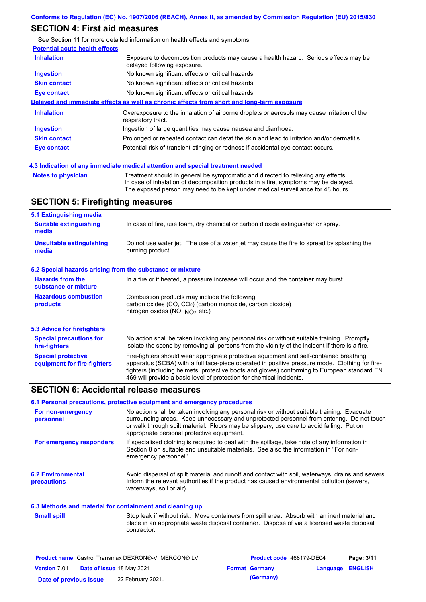## **SECTION 4: First aid measures**

|                                       | See Section 11 for more detailed information on health effects and symptoms.                                        |
|---------------------------------------|---------------------------------------------------------------------------------------------------------------------|
| <b>Potential acute health effects</b> |                                                                                                                     |
| <b>Inhalation</b>                     | Exposure to decomposition products may cause a health hazard. Serious effects may be<br>delayed following exposure. |
| <b>Ingestion</b>                      | No known significant effects or critical hazards.                                                                   |
| <b>Skin contact</b>                   | No known significant effects or critical hazards.                                                                   |
| Eye contact                           | No known significant effects or critical hazards.                                                                   |
|                                       | Delayed and immediate effects as well as chronic effects from short and long-term exposure                          |
| <b>Inhalation</b>                     | Overexposure to the inhalation of airborne droplets or aerosols may cause irritation of the<br>respiratory tract.   |
| <b>Ingestion</b>                      | Ingestion of large quantities may cause nausea and diarrhoea.                                                       |
| <b>Skin contact</b>                   | Prolonged or repeated contact can defat the skin and lead to irritation and/or dermatitis.                          |
| Eye contact                           | Potential risk of transient stinging or redness if accidental eye contact occurs.                                   |
|                                       |                                                                                                                     |

**Notes to physician** Treatment should in general be symptomatic and directed to relieving any effects. In case of inhalation of decomposition products in a fire, symptoms may be delayed. The exposed person may need to be kept under medical surveillance for 48 hours. **4.3 Indication of any immediate medical attention and special treatment needed**

## **SECTION 5: Firefighting measures**

| 5.1 Extinguishing media                                   |                                                                                                                                                                                                                                                                                                                                                                   |
|-----------------------------------------------------------|-------------------------------------------------------------------------------------------------------------------------------------------------------------------------------------------------------------------------------------------------------------------------------------------------------------------------------------------------------------------|
| <b>Suitable extinguishing</b><br>media                    | In case of fire, use foam, dry chemical or carbon dioxide extinguisher or spray.                                                                                                                                                                                                                                                                                  |
| <b>Unsuitable extinguishing</b><br>media                  | Do not use water jet. The use of a water jet may cause the fire to spread by splashing the<br>burning product.                                                                                                                                                                                                                                                    |
| 5.2 Special hazards arising from the substance or mixture |                                                                                                                                                                                                                                                                                                                                                                   |
| <b>Hazards from the</b><br>substance or mixture           | In a fire or if heated, a pressure increase will occur and the container may burst.                                                                                                                                                                                                                                                                               |
| <b>Hazardous combustion</b><br>products                   | Combustion products may include the following:<br>carbon oxides (CO, CO <sub>2</sub> ) (carbon monoxide, carbon dioxide)<br>nitrogen oxides (NO, NO <sub>2</sub> etc.)                                                                                                                                                                                            |
| 5.3 Advice for firefighters                               |                                                                                                                                                                                                                                                                                                                                                                   |
| <b>Special precautions for</b><br>fire-fighters           | No action shall be taken involving any personal risk or without suitable training. Promptly<br>isolate the scene by removing all persons from the vicinity of the incident if there is a fire.                                                                                                                                                                    |
| <b>Special protective</b><br>equipment for fire-fighters  | Fire-fighters should wear appropriate protective equipment and self-contained breathing<br>apparatus (SCBA) with a full face-piece operated in positive pressure mode. Clothing for fire-<br>fighters (including helmets, protective boots and gloves) conforming to European standard EN<br>469 will provide a basic level of protection for chemical incidents. |

### **SECTION 6: Accidental release measures**

#### **6.1 Personal precautions, protective equipment and emergency procedures**

| For non-emergency<br>personnel          | No action shall be taken involving any personal risk or without suitable training. Evacuate<br>surrounding areas. Keep unnecessary and unprotected personnel from entering. Do not touch<br>or walk through spilt material. Floors may be slippery; use care to avoid falling. Put on<br>appropriate personal protective equipment. |
|-----------------------------------------|-------------------------------------------------------------------------------------------------------------------------------------------------------------------------------------------------------------------------------------------------------------------------------------------------------------------------------------|
| For emergency responders                | If specialised clothing is required to deal with the spillage, take note of any information in<br>Section 8 on suitable and unsuitable materials. See also the information in "For non-<br>emergency personnel".                                                                                                                    |
| <b>6.2 Environmental</b><br>precautions | Avoid dispersal of spilt material and runoff and contact with soil, waterways, drains and sewers.<br>Inform the relevant authorities if the product has caused environmental pollution (sewers,<br>waterways, soil or air).                                                                                                         |

#### **6.3 Methods and material for containment and cleaning up**

Stop leak if without risk. Move containers from spill area. Absorb with an inert material and place in an appropriate waste disposal container. Dispose of via a licensed waste disposal contractor. **Small spill**

| <b>Product name</b> Castrol Transmax DEXRON®-VI MERCON® LV |  | Product code 468179-DE04  |  | Page: 3/11            |                  |  |
|------------------------------------------------------------|--|---------------------------|--|-----------------------|------------------|--|
| <b>Version 7.01</b>                                        |  | Date of issue 18 May 2021 |  | <b>Format Germany</b> | Language ENGLISH |  |
| Date of previous issue                                     |  | 22 February 2021.         |  | (Germany)             |                  |  |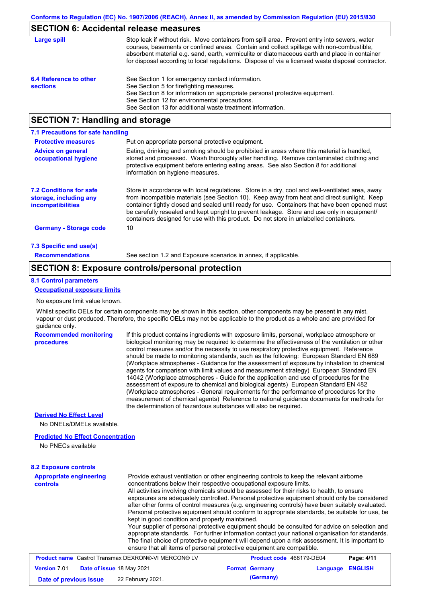### **SECTION 6: Accidental release measures**

| Large spill                               | Stop leak if without risk. Move containers from spill area. Prevent entry into sewers, water<br>courses, basements or confined areas. Contain and collect spillage with non-combustible,<br>absorbent material e.g. sand, earth, vermiculite or diatomaceous earth and place in container<br>for disposal according to local regulations. Dispose of via a licensed waste disposal contractor. |
|-------------------------------------------|------------------------------------------------------------------------------------------------------------------------------------------------------------------------------------------------------------------------------------------------------------------------------------------------------------------------------------------------------------------------------------------------|
| 6.4 Reference to other<br><b>sections</b> | See Section 1 for emergency contact information.<br>See Section 5 for firefighting measures.<br>See Section 8 for information on appropriate personal protective equipment.<br>See Section 12 for environmental precautions.<br>See Section 13 for additional waste treatment information.                                                                                                     |

## **SECTION 7: Handling and storage**

| 7.1 Precautions for safe handling                                             |                                                                                                                                                                                                                                                                                                                                                                                                                                                                                          |
|-------------------------------------------------------------------------------|------------------------------------------------------------------------------------------------------------------------------------------------------------------------------------------------------------------------------------------------------------------------------------------------------------------------------------------------------------------------------------------------------------------------------------------------------------------------------------------|
| <b>Protective measures</b>                                                    | Put on appropriate personal protective equipment.                                                                                                                                                                                                                                                                                                                                                                                                                                        |
| <b>Advice on general</b><br>occupational hygiene                              | Eating, drinking and smoking should be prohibited in areas where this material is handled,<br>stored and processed. Wash thoroughly after handling. Remove contaminated clothing and<br>protective equipment before entering eating areas. See also Section 8 for additional<br>information on hygiene measures.                                                                                                                                                                         |
| <b>7.2 Conditions for safe</b><br>storage, including any<br>incompatibilities | Store in accordance with local regulations. Store in a dry, cool and well-ventilated area, away<br>from incompatible materials (see Section 10). Keep away from heat and direct sunlight. Keep<br>container tightly closed and sealed until ready for use. Containers that have been opened must<br>be carefully resealed and kept upright to prevent leakage. Store and use only in equipment/<br>containers designed for use with this product. Do not store in unlabelled containers. |
| <b>Germany - Storage code</b>                                                 | 10                                                                                                                                                                                                                                                                                                                                                                                                                                                                                       |
| 7.3 Specific end use(s)                                                       |                                                                                                                                                                                                                                                                                                                                                                                                                                                                                          |
| <b>Recommendations</b>                                                        | See section 1.2 and Exposure scenarios in annex, if applicable.                                                                                                                                                                                                                                                                                                                                                                                                                          |

### **SECTION 8: Exposure controls/personal protection**

#### **8.1 Control parameters**

#### **Occupational exposure limits**

No exposure limit value known.

Whilst specific OELs for certain components may be shown in this section, other components may be present in any mist. vapour or dust produced. Therefore, the specific OELs may not be applicable to the product as a whole and are provided for guidance only.

#### **Recommended monitoring procedures**

If this product contains ingredients with exposure limits, personal, workplace atmosphere or biological monitoring may be required to determine the effectiveness of the ventilation or other control measures and/or the necessity to use respiratory protective equipment. Reference should be made to monitoring standards, such as the following: European Standard EN 689 (Workplace atmospheres - Guidance for the assessment of exposure by inhalation to chemical agents for comparison with limit values and measurement strategy) European Standard EN 14042 (Workplace atmospheres - Guide for the application and use of procedures for the assessment of exposure to chemical and biological agents) European Standard EN 482 (Workplace atmospheres - General requirements for the performance of procedures for the measurement of chemical agents) Reference to national guidance documents for methods for the determination of hazardous substances will also be required.

#### **Derived No Effect Level**

No DNELs/DMELs available.

#### **Predicted No Effect Concentration**

No PNECs available

#### **Appropriate engineering controls** Provide exhaust ventilation or other engineering controls to keep the relevant airborne concentrations below their respective occupational exposure limits. All activities involving chemicals should be assessed for their risks to health, to ensure exposures are adequately controlled. Personal protective equipment should only be considered after other forms of control measures (e.g. engineering controls) have been suitably evaluated. Personal protective equipment should conform to appropriate standards, be suitable for use, be kept in good condition and properly maintained. Your supplier of personal protective equipment should be consulted for advice on selection and appropriate standards. For further information contact your national organisation for standards. The final choice of protective equipment will depend upon a risk assessment. It is important to ensure that all items of personal protective equipment are compatible. **8.2 Exposure controls Product name** Castrol Transmax DEXRON®-VI MERCON® LV **Product code** 468179-DE04 **Page: 4/11** | **Version** 7.01 **Date of issue** 18 May 2021 **Format Germany Language ENGLISH**

**Date of previous issue 22 February 2021. (Germany) (Germany)**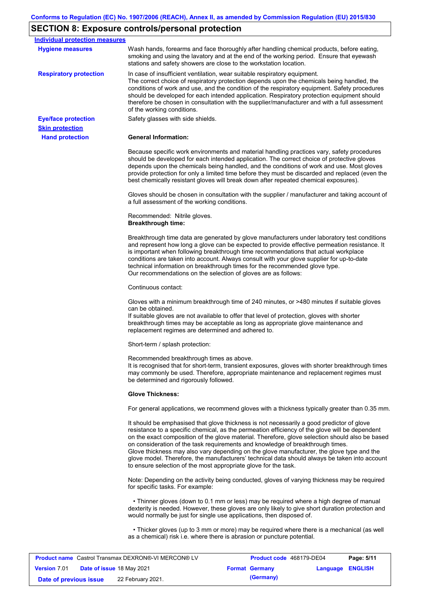# **SECTION 8: Exposure controls/personal protection**

| Individual protection measures                             |                                                                                                                                                                                                                                                                                                                                                                                                                                                                                                                                                                                                                                                   |
|------------------------------------------------------------|---------------------------------------------------------------------------------------------------------------------------------------------------------------------------------------------------------------------------------------------------------------------------------------------------------------------------------------------------------------------------------------------------------------------------------------------------------------------------------------------------------------------------------------------------------------------------------------------------------------------------------------------------|
| <b>Hygiene measures</b>                                    | Wash hands, forearms and face thoroughly after handling chemical products, before eating,<br>smoking and using the lavatory and at the end of the working period. Ensure that eyewash<br>stations and safety showers are close to the workstation location.                                                                                                                                                                                                                                                                                                                                                                                       |
| <b>Respiratory protection</b>                              | In case of insufficient ventilation, wear suitable respiratory equipment.<br>The correct choice of respiratory protection depends upon the chemicals being handled, the<br>conditions of work and use, and the condition of the respiratory equipment. Safety procedures<br>should be developed for each intended application. Respiratory protection equipment should<br>therefore be chosen in consultation with the supplier/manufacturer and with a full assessment<br>of the working conditions.                                                                                                                                             |
| <b>Eye/face protection</b>                                 | Safety glasses with side shields.                                                                                                                                                                                                                                                                                                                                                                                                                                                                                                                                                                                                                 |
| <b>Skin protection</b>                                     |                                                                                                                                                                                                                                                                                                                                                                                                                                                                                                                                                                                                                                                   |
| <b>Hand protection</b>                                     | <b>General Information:</b>                                                                                                                                                                                                                                                                                                                                                                                                                                                                                                                                                                                                                       |
|                                                            | Because specific work environments and material handling practices vary, safety procedures<br>should be developed for each intended application. The correct choice of protective gloves<br>depends upon the chemicals being handled, and the conditions of work and use. Most gloves<br>provide protection for only a limited time before they must be discarded and replaced (even the<br>best chemically resistant gloves will break down after repeated chemical exposures).                                                                                                                                                                  |
|                                                            | Gloves should be chosen in consultation with the supplier / manufacturer and taking account of<br>a full assessment of the working conditions.                                                                                                                                                                                                                                                                                                                                                                                                                                                                                                    |
|                                                            | Recommended: Nitrile gloves.<br><b>Breakthrough time:</b>                                                                                                                                                                                                                                                                                                                                                                                                                                                                                                                                                                                         |
|                                                            | Breakthrough time data are generated by glove manufacturers under laboratory test conditions<br>and represent how long a glove can be expected to provide effective permeation resistance. It<br>is important when following breakthrough time recommendations that actual workplace<br>conditions are taken into account. Always consult with your glove supplier for up-to-date<br>technical information on breakthrough times for the recommended glove type.<br>Our recommendations on the selection of gloves are as follows:                                                                                                                |
|                                                            | Continuous contact:                                                                                                                                                                                                                                                                                                                                                                                                                                                                                                                                                                                                                               |
|                                                            | Gloves with a minimum breakthrough time of 240 minutes, or >480 minutes if suitable gloves<br>can be obtained.<br>If suitable gloves are not available to offer that level of protection, gloves with shorter<br>breakthrough times may be acceptable as long as appropriate glove maintenance and<br>replacement regimes are determined and adhered to.                                                                                                                                                                                                                                                                                          |
|                                                            | Short-term / splash protection:                                                                                                                                                                                                                                                                                                                                                                                                                                                                                                                                                                                                                   |
|                                                            | Recommended breakthrough times as above.<br>It is recognised that for short-term, transient exposures, gloves with shorter breakthrough times<br>may commonly be used. Therefore, appropriate maintenance and replacement regimes must<br>be determined and rigorously followed.                                                                                                                                                                                                                                                                                                                                                                  |
|                                                            | <b>Glove Thickness:</b>                                                                                                                                                                                                                                                                                                                                                                                                                                                                                                                                                                                                                           |
|                                                            | For general applications, we recommend gloves with a thickness typically greater than 0.35 mm.                                                                                                                                                                                                                                                                                                                                                                                                                                                                                                                                                    |
|                                                            | It should be emphasised that glove thickness is not necessarily a good predictor of glove<br>resistance to a specific chemical, as the permeation efficiency of the glove will be dependent<br>on the exact composition of the glove material. Therefore, glove selection should also be based<br>on consideration of the task requirements and knowledge of breakthrough times.<br>Glove thickness may also vary depending on the glove manufacturer, the glove type and the<br>glove model. Therefore, the manufacturers' technical data should always be taken into account<br>to ensure selection of the most appropriate glove for the task. |
|                                                            | Note: Depending on the activity being conducted, gloves of varying thickness may be required<br>for specific tasks. For example:                                                                                                                                                                                                                                                                                                                                                                                                                                                                                                                  |
|                                                            | • Thinner gloves (down to 0.1 mm or less) may be required where a high degree of manual<br>dexterity is needed. However, these gloves are only likely to give short duration protection and<br>would normally be just for single use applications, then disposed of.                                                                                                                                                                                                                                                                                                                                                                              |
|                                                            | • Thicker gloves (up to 3 mm or more) may be required where there is a mechanical (as well<br>as a chemical) risk i.e. where there is abrasion or puncture potential.                                                                                                                                                                                                                                                                                                                                                                                                                                                                             |
| <b>Product name Castrol Transmay DEXRON® VI MERCON® LV</b> | P <sub>2</sub> na: 5/11<br><b>Product code</b> 468179-DE04                                                                                                                                                                                                                                                                                                                                                                                                                                                                                                                                                                                        |

| <b>Product name</b> Castrol Transmax DEXRON®-VI MERCON® LV |  | Product code 468179-DE04  |  | Page: 5/11            |                  |  |
|------------------------------------------------------------|--|---------------------------|--|-----------------------|------------------|--|
| <b>Version 7.01</b>                                        |  | Date of issue 18 May 2021 |  | <b>Format Germany</b> | Language ENGLISH |  |
| Date of previous issue                                     |  | 22 February 2021.         |  | (Germany)             |                  |  |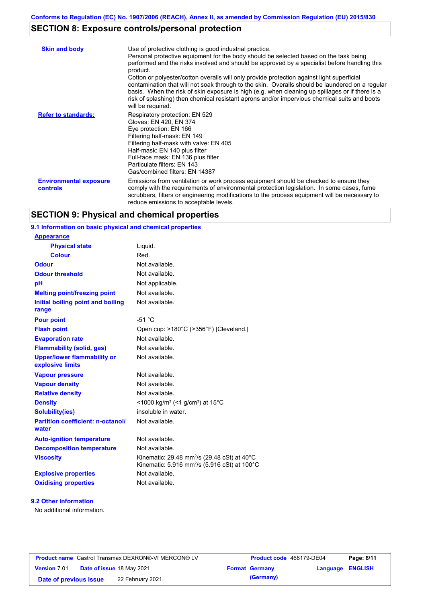# **SECTION 8: Exposure controls/personal protection**

| <b>Skin and body</b>                      | Use of protective clothing is good industrial practice.<br>Personal protective equipment for the body should be selected based on the task being<br>performed and the risks involved and should be approved by a specialist before handling this<br>product.<br>Cotton or polyester/cotton overalls will only provide protection against light superficial<br>contamination that will not soak through to the skin. Overalls should be laundered on a regular<br>basis. When the risk of skin exposure is high (e.g. when cleaning up spillages or if there is a<br>risk of splashing) then chemical resistant aprons and/or impervious chemical suits and boots<br>will be required. |
|-------------------------------------------|---------------------------------------------------------------------------------------------------------------------------------------------------------------------------------------------------------------------------------------------------------------------------------------------------------------------------------------------------------------------------------------------------------------------------------------------------------------------------------------------------------------------------------------------------------------------------------------------------------------------------------------------------------------------------------------|
| <b>Refer to standards:</b>                | Respiratory protection: EN 529<br>Gloves: EN 420, EN 374<br>Eye protection: EN 166<br>Filtering half-mask: EN 149<br>Filtering half-mask with valve: EN 405<br>Half-mask: EN 140 plus filter<br>Full-face mask: EN 136 plus filter<br>Particulate filters: EN 143<br>Gas/combined filters: EN 14387                                                                                                                                                                                                                                                                                                                                                                                   |
| <b>Environmental exposure</b><br>controls | Emissions from ventilation or work process equipment should be checked to ensure they<br>comply with the requirements of environmental protection legislation. In some cases, fume<br>scrubbers, filters or engineering modifications to the process equipment will be necessary to<br>reduce emissions to acceptable levels.                                                                                                                                                                                                                                                                                                                                                         |

# **SECTION 9: Physical and chemical properties**

## **9.1 Information on basic physical and chemical properties**

| <b>Appearance</b>                                      |                                                                                                                                |
|--------------------------------------------------------|--------------------------------------------------------------------------------------------------------------------------------|
| <b>Physical state</b>                                  | Liquid.                                                                                                                        |
| <b>Colour</b>                                          | Red.                                                                                                                           |
| <b>Odour</b>                                           | Not available.                                                                                                                 |
| <b>Odour threshold</b>                                 | Not available.                                                                                                                 |
| pH                                                     | Not applicable.                                                                                                                |
| <b>Melting point/freezing point</b>                    | Not available.                                                                                                                 |
| Initial boiling point and boiling<br>range             | Not available.                                                                                                                 |
| <b>Pour point</b>                                      | $-51 °C$                                                                                                                       |
| <b>Flash point</b>                                     | Open cup: >180°C (>356°F) [Cleveland.]                                                                                         |
| <b>Evaporation rate</b>                                | Not available.                                                                                                                 |
| <b>Flammability (solid, gas)</b>                       | Not available.                                                                                                                 |
| <b>Upper/lower flammability or</b><br>explosive limits | Not available.                                                                                                                 |
| <b>Vapour pressure</b>                                 | Not available.                                                                                                                 |
| <b>Vapour density</b>                                  | Not available.                                                                                                                 |
| <b>Relative density</b>                                | Not available.                                                                                                                 |
| <b>Density</b>                                         | <1000 kg/m <sup>3</sup> (<1 g/cm <sup>3</sup> ) at 15 <sup>°</sup> C                                                           |
| <b>Solubility(ies)</b>                                 | insoluble in water.                                                                                                            |
| <b>Partition coefficient: n-octanol/</b><br>water      | Not available.                                                                                                                 |
| <b>Auto-ignition temperature</b>                       | Not available.                                                                                                                 |
| <b>Decomposition temperature</b>                       | Not available.                                                                                                                 |
| <b>Viscosity</b>                                       | Kinematic: 29.48 mm <sup>2</sup> /s (29.48 cSt) at 40°C<br>Kinematic: 5.916 mm <sup>2</sup> /s (5.916 cSt) at 100 $^{\circ}$ C |
| <b>Explosive properties</b>                            | Not available.                                                                                                                 |
| <b>Oxidising properties</b>                            | Not available.                                                                                                                 |

#### **9.2 Other information**

No additional information.

| <b>Product name</b> Castrol Transmax DEXRON®-VI MERCON® LV |  | Product code 468179-DE04         |                       | Page: 6/11              |  |
|------------------------------------------------------------|--|----------------------------------|-----------------------|-------------------------|--|
| <b>Version 7.01</b>                                        |  | <b>Date of issue 18 May 2021</b> | <b>Format Germany</b> | <b>Language ENGLISH</b> |  |
| Date of previous issue                                     |  | 22 February 2021.                | (Germany)             |                         |  |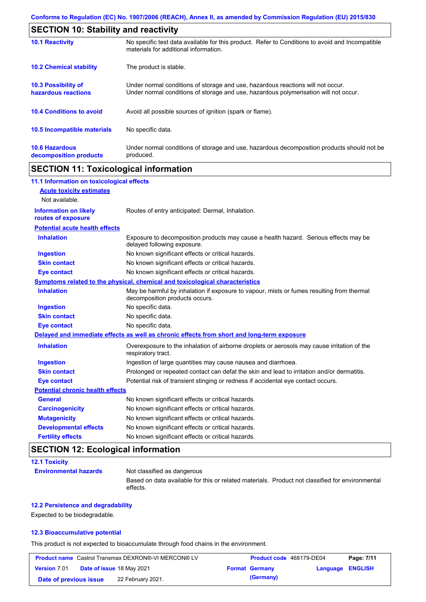| <b>SECTION 10: Stability and reactivity</b>       |                                                                                                                                                                         |  |
|---------------------------------------------------|-------------------------------------------------------------------------------------------------------------------------------------------------------------------------|--|
| <b>10.1 Reactivity</b>                            | No specific test data available for this product. Refer to Conditions to avoid and Incompatible<br>materials for additional information.                                |  |
| <b>10.2 Chemical stability</b>                    | The product is stable.                                                                                                                                                  |  |
| <b>10.3 Possibility of</b><br>hazardous reactions | Under normal conditions of storage and use, hazardous reactions will not occur.<br>Under normal conditions of storage and use, hazardous polymerisation will not occur. |  |
| <b>10.4 Conditions to avoid</b>                   | Avoid all possible sources of ignition (spark or flame).                                                                                                                |  |
| <b>10.5 Incompatible materials</b>                | No specific data.                                                                                                                                                       |  |
| <b>10.6 Hazardous</b><br>decomposition products   | Under normal conditions of storage and use, hazardous decomposition products should not be<br>produced.                                                                 |  |

# **SECTION 11: Toxicological information**

| 11.1 Information on toxicological effects |                                                                                                                             |
|-------------------------------------------|-----------------------------------------------------------------------------------------------------------------------------|
| <b>Acute toxicity estimates</b>           |                                                                                                                             |
| Not available.                            |                                                                                                                             |
| <b>Information on likely</b>              | Routes of entry anticipated: Dermal, Inhalation.                                                                            |
| routes of exposure                        |                                                                                                                             |
| <b>Potential acute health effects</b>     |                                                                                                                             |
| <b>Inhalation</b>                         | Exposure to decomposition products may cause a health hazard. Serious effects may be<br>delayed following exposure.         |
| <b>Ingestion</b>                          | No known significant effects or critical hazards.                                                                           |
| <b>Skin contact</b>                       | No known significant effects or critical hazards.                                                                           |
| <b>Eye contact</b>                        | No known significant effects or critical hazards.                                                                           |
|                                           | Symptoms related to the physical, chemical and toxicological characteristics                                                |
| <b>Inhalation</b>                         | May be harmful by inhalation if exposure to vapour, mists or fumes resulting from thermal<br>decomposition products occurs. |
| <b>Ingestion</b>                          | No specific data.                                                                                                           |
| <b>Skin contact</b>                       | No specific data.                                                                                                           |
| <b>Eye contact</b>                        | No specific data.                                                                                                           |
|                                           | Delayed and immediate effects as well as chronic effects from short and long-term exposure                                  |
| <b>Inhalation</b>                         | Overexposure to the inhalation of airborne droplets or aerosols may cause irritation of the<br>respiratory tract.           |
| <b>Ingestion</b>                          | Ingestion of large quantities may cause nausea and diarrhoea.                                                               |
| <b>Skin contact</b>                       | Prolonged or repeated contact can defat the skin and lead to irritation and/or dermatitis.                                  |
| <b>Eye contact</b>                        | Potential risk of transient stinging or redness if accidental eye contact occurs.                                           |
| <b>Potential chronic health effects</b>   |                                                                                                                             |
| <b>General</b>                            | No known significant effects or critical hazards.                                                                           |
| <b>Carcinogenicity</b>                    | No known significant effects or critical hazards.                                                                           |
| <b>Mutagenicity</b>                       | No known significant effects or critical hazards.                                                                           |
| <b>Developmental effects</b>              | No known significant effects or critical hazards.                                                                           |
| <b>Fertility effects</b>                  | No known significant effects or critical hazards.                                                                           |

# **SECTION 12: Ecological information**

| <b>12.1 Toxicity</b>         |                                                                                                             |
|------------------------------|-------------------------------------------------------------------------------------------------------------|
| <b>Environmental hazards</b> | Not classified as dangerous                                                                                 |
|                              | Based on data available for this or related materials. Product not classified for environmental<br>effects. |

#### **12.2 Persistence and degradability**

Expected to be biodegradable.

#### **12.3 Bioaccumulative potential**

This product is not expected to bioaccumulate through food chains in the environment.

| <b>Product name</b> Castrol Transmax DEXRON®-VI MERCON® LV |                           | Product code 468179-DE04 |                       | Page: 7/11       |  |
|------------------------------------------------------------|---------------------------|--------------------------|-----------------------|------------------|--|
| <b>Version 7.01</b>                                        | Date of issue 18 May 2021 |                          | <b>Format Germany</b> | Language ENGLISH |  |
| Date of previous issue                                     | 22 February 2021.         |                          | (Germany)             |                  |  |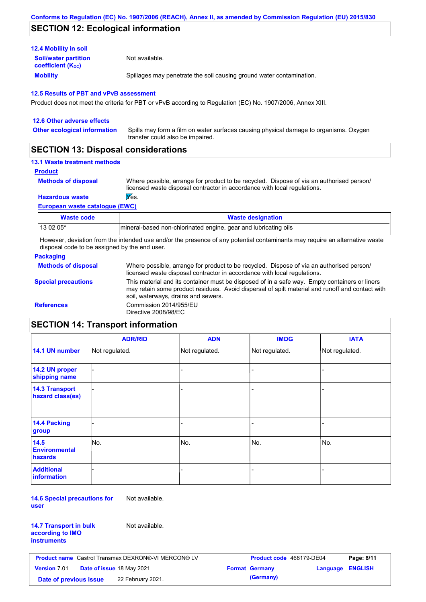## **SECTION 12: Ecological information**

| <b>12.4 Mobility in soil</b>                                  |                                                                      |
|---------------------------------------------------------------|----------------------------------------------------------------------|
| <b>Soil/water partition</b><br>coefficient (K <sub>oc</sub> ) | Not available.                                                       |
| <b>Mobility</b>                                               | Spillages may penetrate the soil causing ground water contamination. |

#### **12.5 Results of PBT and vPvB assessment**

Product does not meet the criteria for PBT or vPvB according to Regulation (EC) No. 1907/2006, Annex XIII.

| 12.6 Other adverse effects          |                                                                                                                           |
|-------------------------------------|---------------------------------------------------------------------------------------------------------------------------|
| <b>Other ecological information</b> | Spills may form a film on water surfaces causing physical damage to organisms. Oxygen<br>transfer could also be impaired. |
|                                     |                                                                                                                           |

### **SECTION 13: Disposal considerations**

#### **13.1 Waste treatment methods**

```
Product
```
**Methods of disposal**

Where possible, arrange for product to be recycled. Dispose of via an authorised person/ licensed waste disposal contractor in accordance with local regulations.

#### **Hazardous waste Wes.**

**European waste catalogue (EWC)**

| Waste code | <b>Waste designation</b>                                        |
|------------|-----------------------------------------------------------------|
| 13 02 05*  | mineral-based non-chlorinated engine, gear and lubricating oils |

However, deviation from the intended use and/or the presence of any potential contaminants may require an alternative waste disposal code to be assigned by the end user.

#### **Packaging**

| <b>Methods of disposal</b> | Where possible, arrange for product to be recycled. Dispose of via an authorised person/<br>licensed waste disposal contractor in accordance with local regulations.                                                                    |
|----------------------------|-----------------------------------------------------------------------------------------------------------------------------------------------------------------------------------------------------------------------------------------|
| <b>Special precautions</b> | This material and its container must be disposed of in a safe way. Empty containers or liners<br>may retain some product residues. Avoid dispersal of spilt material and runoff and contact with<br>soil, waterways, drains and sewers. |
| <b>References</b>          | Commission 2014/955/EU<br>Directive 2008/98/EC                                                                                                                                                                                          |

# **SECTION 14: Transport information**

|                                           | <b>ADR/RID</b> | <b>ADN</b>     | <b>IMDG</b>    | <b>IATA</b>    |
|-------------------------------------------|----------------|----------------|----------------|----------------|
| 14.1 UN number                            | Not regulated. | Not regulated. | Not regulated. | Not regulated. |
| 14.2 UN proper<br>shipping name           |                |                | -              |                |
| <b>14.3 Transport</b><br>hazard class(es) |                |                | -              |                |
| <b>14.4 Packing</b><br>group              |                |                |                |                |
| 14.5<br><b>Environmental</b><br>hazards   | No.            | No.            | No.            | No.            |
| <b>Additional</b><br><b>information</b>   |                |                |                |                |

**14.6 Special precautions for user** Not available.

| <b>14.7 Transport in bulk</b> |  |
|-------------------------------|--|
| according to IMO              |  |
| instruments                   |  |

Not available.

| <b>Product name</b> Castrol Transmax DEXRON®-VI MERCON® LV |  |                                  | Product code 468179-DE04 |                         | Page: 8/11 |
|------------------------------------------------------------|--|----------------------------------|--------------------------|-------------------------|------------|
| <b>Version 7.01</b>                                        |  | <b>Date of issue 18 May 2021</b> | <b>Format Germany</b>    | <b>Language ENGLISH</b> |            |
| Date of previous issue                                     |  | 22 February 2021.                | (Germany)                |                         |            |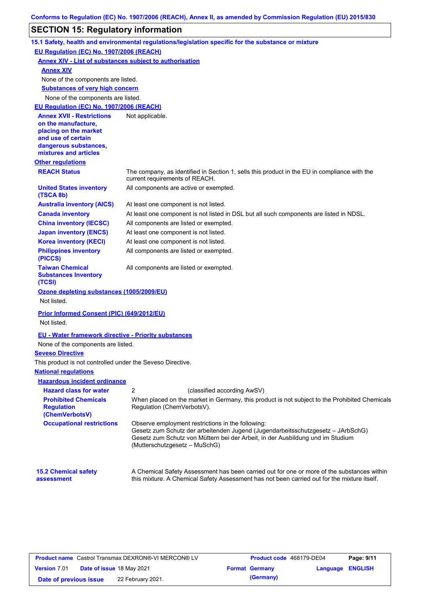# **SECTION 15: Regulatory information**

|                                                                    | 15.1 Safety, health and environmental regulations/legislation specific for the substance or mixture                                                                                                                                                     |
|--------------------------------------------------------------------|---------------------------------------------------------------------------------------------------------------------------------------------------------------------------------------------------------------------------------------------------------|
| EU Regulation (EC) No. 1907/2006 (REACH)                           |                                                                                                                                                                                                                                                         |
| <b>Annex XIV - List of substances subject to authorisation</b>     |                                                                                                                                                                                                                                                         |
| <b>Annex XIV</b>                                                   |                                                                                                                                                                                                                                                         |
| None of the components are listed.                                 |                                                                                                                                                                                                                                                         |
| <b>Substances of very high concern</b>                             |                                                                                                                                                                                                                                                         |
| None of the components are listed.                                 |                                                                                                                                                                                                                                                         |
| EU Regulation (EC) No. 1907/2006 (REACH)                           |                                                                                                                                                                                                                                                         |
| <b>Annex XVII - Restrictions</b>                                   | Not applicable.                                                                                                                                                                                                                                         |
| on the manufacture,<br>placing on the market                       |                                                                                                                                                                                                                                                         |
| and use of certain                                                 |                                                                                                                                                                                                                                                         |
| dangerous substances,                                              |                                                                                                                                                                                                                                                         |
| mixtures and articles                                              |                                                                                                                                                                                                                                                         |
| <b>Other regulations</b>                                           |                                                                                                                                                                                                                                                         |
| <b>REACH Status</b>                                                | The company, as identified in Section 1, sells this product in the EU in compliance with the<br>current requirements of REACH.                                                                                                                          |
| <b>United States inventory</b><br>(TSCA 8b)                        | All components are active or exempted.                                                                                                                                                                                                                  |
| <b>Australia inventory (AICS)</b>                                  | At least one component is not listed.                                                                                                                                                                                                                   |
| <b>Canada inventory</b>                                            | At least one component is not listed in DSL but all such components are listed in NDSL.                                                                                                                                                                 |
| <b>China inventory (IECSC)</b>                                     | All components are listed or exempted.                                                                                                                                                                                                                  |
| <b>Japan inventory (ENCS)</b>                                      | At least one component is not listed.                                                                                                                                                                                                                   |
| <b>Korea inventory (KECI)</b>                                      | At least one component is not listed.                                                                                                                                                                                                                   |
| <b>Philippines inventory</b><br>(PICCS)                            | All components are listed or exempted.                                                                                                                                                                                                                  |
| <b>Taiwan Chemical</b><br><b>Substances Inventory</b><br>(TCSI)    | All components are listed or exempted.                                                                                                                                                                                                                  |
| Ozone depleting substances (1005/2009/EU)                          |                                                                                                                                                                                                                                                         |
| Not listed.                                                        |                                                                                                                                                                                                                                                         |
| <b>Prior Informed Consent (PIC) (649/2012/EU)</b>                  |                                                                                                                                                                                                                                                         |
| Not listed.                                                        |                                                                                                                                                                                                                                                         |
| <b>EU - Water framework directive - Priority substances</b>        |                                                                                                                                                                                                                                                         |
| None of the components are listed.                                 |                                                                                                                                                                                                                                                         |
| <b>Seveso Directive</b>                                            |                                                                                                                                                                                                                                                         |
| This product is not controlled under the Seveso Directive.         |                                                                                                                                                                                                                                                         |
| <b>National regulations</b>                                        |                                                                                                                                                                                                                                                         |
| <b>Hazardous incident ordinance</b>                                |                                                                                                                                                                                                                                                         |
| <b>Hazard class for water</b>                                      | $\boldsymbol{2}$<br>(classified according AwSV)                                                                                                                                                                                                         |
| <b>Prohibited Chemicals</b><br><b>Regulation</b><br>(ChemVerbotsV) | When placed on the market in Germany, this product is not subject to the Prohibited Chemicals<br>Regulation (ChemVerbotsV).                                                                                                                             |
| <b>Occupational restrictions</b>                                   | Observe employment restrictions in the following:<br>Gesetz zum Schutz der arbeitenden Jugend (Jugendarbeitsschutzgesetz - JArbSchG)<br>Gesetz zum Schutz von Müttern bei der Arbeit, in der Ausbildung und im Studium<br>(Mutterschutzgesetz – MuSchG) |
| <b>15.2 Chemical safety</b><br>assessment                          | A Chemical Safety Assessment has been carried out for one or more of the substances within<br>this mixture. A Chemical Safety Assessment has not been carried out for the mixture itself.                                                               |

| <b>Product name</b> Castrol Transmax DEXRON®-VI MERCON® LV |  |                                  | Product code 468179-DE04 |                       | Page: 9/11              |  |
|------------------------------------------------------------|--|----------------------------------|--------------------------|-----------------------|-------------------------|--|
| <b>Version 7.01</b>                                        |  | <b>Date of issue 18 May 2021</b> |                          | <b>Format Germany</b> | <b>Language ENGLISH</b> |  |
| Date of previous issue                                     |  | 22 February 2021.                |                          | (Germany)             |                         |  |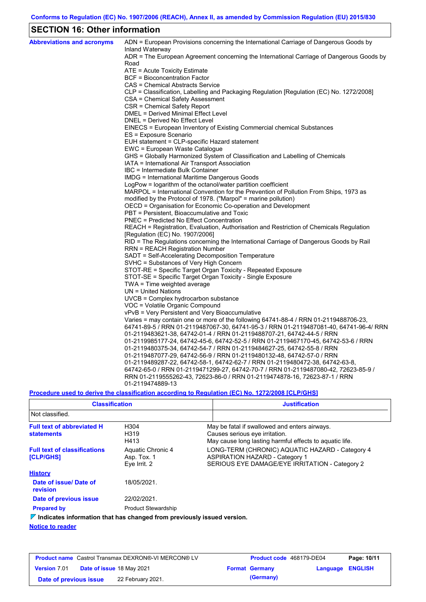## **SECTION 16: Other information**

| <b>Abbreviations and acronyms</b> | ADN = European Provisions concerning the International Carriage of Dangerous Goods by                                     |
|-----------------------------------|---------------------------------------------------------------------------------------------------------------------------|
|                                   | Inland Waterway<br>ADR = The European Agreement concerning the International Carriage of Dangerous Goods by               |
|                                   | Road                                                                                                                      |
|                                   | ATE = Acute Toxicity Estimate                                                                                             |
|                                   | BCF = Bioconcentration Factor                                                                                             |
|                                   | CAS = Chemical Abstracts Service                                                                                          |
|                                   | CLP = Classification, Labelling and Packaging Regulation [Regulation (EC) No. 1272/2008]                                  |
|                                   | CSA = Chemical Safety Assessment                                                                                          |
|                                   | CSR = Chemical Safety Report                                                                                              |
|                                   | DMEL = Derived Minimal Effect Level                                                                                       |
|                                   | DNEL = Derived No Effect Level                                                                                            |
|                                   | EINECS = European Inventory of Existing Commercial chemical Substances                                                    |
|                                   | ES = Exposure Scenario                                                                                                    |
|                                   | EUH statement = CLP-specific Hazard statement                                                                             |
|                                   | EWC = European Waste Catalogue                                                                                            |
|                                   | GHS = Globally Harmonized System of Classification and Labelling of Chemicals                                             |
|                                   | IATA = International Air Transport Association                                                                            |
|                                   | IBC = Intermediate Bulk Container                                                                                         |
|                                   | IMDG = International Maritime Dangerous Goods                                                                             |
|                                   | LogPow = logarithm of the octanol/water partition coefficient                                                             |
|                                   | MARPOL = International Convention for the Prevention of Pollution From Ships, 1973 as                                     |
|                                   | modified by the Protocol of 1978. ("Marpol" = marine pollution)                                                           |
|                                   | OECD = Organisation for Economic Co-operation and Development                                                             |
|                                   | PBT = Persistent, Bioaccumulative and Toxic                                                                               |
|                                   | <b>PNEC = Predicted No Effect Concentration</b>                                                                           |
|                                   | REACH = Registration, Evaluation, Authorisation and Restriction of Chemicals Regulation                                   |
|                                   | [Regulation (EC) No. 1907/2006]<br>RID = The Regulations concerning the International Carriage of Dangerous Goods by Rail |
|                                   | <b>RRN = REACH Registration Number</b>                                                                                    |
|                                   | SADT = Self-Accelerating Decomposition Temperature                                                                        |
|                                   | SVHC = Substances of Very High Concern                                                                                    |
|                                   | STOT-RE = Specific Target Organ Toxicity - Repeated Exposure                                                              |
|                                   | STOT-SE = Specific Target Organ Toxicity - Single Exposure                                                                |
|                                   | TWA = Time weighted average                                                                                               |
|                                   | $UN = United Nations$                                                                                                     |
|                                   | UVCB = Complex hydrocarbon substance                                                                                      |
|                                   | VOC = Volatile Organic Compound                                                                                           |
|                                   | vPvB = Very Persistent and Very Bioaccumulative                                                                           |
|                                   | Varies = may contain one or more of the following $64741-88-4$ / RRN 01-2119488706-23,                                    |
|                                   | 64741-89-5 / RRN 01-2119487067-30, 64741-95-3 / RRN 01-2119487081-40, 64741-96-4/ RRN                                     |
|                                   | 01-2119483621-38, 64742-01-4 / RRN 01-2119488707-21, 64742-44-5 / RRN                                                     |
|                                   | 01-2119985177-24, 64742-45-6, 64742-52-5 / RRN 01-2119467170-45, 64742-53-6 / RRN                                         |
|                                   | 01-2119480375-34, 64742-54-7 / RRN 01-2119484627-25, 64742-55-8 / RRN                                                     |
|                                   | 01-2119487077-29, 64742-56-9 / RRN 01-2119480132-48, 64742-57-0 / RRN                                                     |
|                                   | 01-2119489287-22, 64742-58-1, 64742-62-7 / RRN 01-2119480472-38, 64742-63-8,                                              |
|                                   | 64742-65-0 / RRN 01-2119471299-27, 64742-70-7 / RRN 01-2119487080-42, 72623-85-9 /                                        |
|                                   | RRN 01-2119555262-43, 72623-86-0 / RRN 01-2119474878-16, 72623-87-1 / RRN                                                 |
|                                   | 01-2119474889-13                                                                                                          |
|                                   |                                                                                                                           |

**Procedure used to derive the classification according to Regulation (EC) No. 1272/2008 [CLP/GHS]**

| <b>Classification</b>                                                           |                                                  | <b>Justification</b>                                                                                                                       |
|---------------------------------------------------------------------------------|--------------------------------------------------|--------------------------------------------------------------------------------------------------------------------------------------------|
| Not classified.                                                                 |                                                  |                                                                                                                                            |
| <b>Full text of abbreviated H</b><br><b>statements</b>                          | H304<br>H319<br>H413                             | May be fatal if swallowed and enters airways.<br>Causes serious eye irritation.<br>May cause long lasting harmful effects to aquatic life. |
| <b>Full text of classifications</b><br><b>[CLP/GHS]</b>                         | Aquatic Chronic 4<br>Asp. Tox. 1<br>Eye Irrit. 2 | LONG-TERM (CHRONIC) AQUATIC HAZARD - Category 4<br><b>ASPIRATION HAZARD - Category 1</b><br>SERIOUS EYE DAMAGE/EYE IRRITATION - Category 2 |
| <b>History</b>                                                                  |                                                  |                                                                                                                                            |
| Date of issue/Date of<br>revision                                               | 18/05/2021.                                      |                                                                                                                                            |
| Date of previous issue                                                          | 22/02/2021.                                      |                                                                                                                                            |
| <b>Prepared by</b>                                                              | <b>Product Stewardship</b>                       |                                                                                                                                            |
| $\nabla$ Indicates information that has changed from previously issued version. |                                                  |                                                                                                                                            |
| Alattan ta mandan                                                               |                                                  |                                                                                                                                            |

**Notice to reader**

| <b>Product name</b> Castrol Transmax DEXRON®-VI MERCON® LV |  |                   | Product code 468179-DE04 |                         | Page: 10/11 |
|------------------------------------------------------------|--|-------------------|--------------------------|-------------------------|-------------|
| Version 7.01 Date of issue 18 May 2021                     |  |                   | <b>Format Germany</b>    | <b>Language ENGLISH</b> |             |
| Date of previous issue                                     |  | 22 February 2021. | (Germany)                |                         |             |